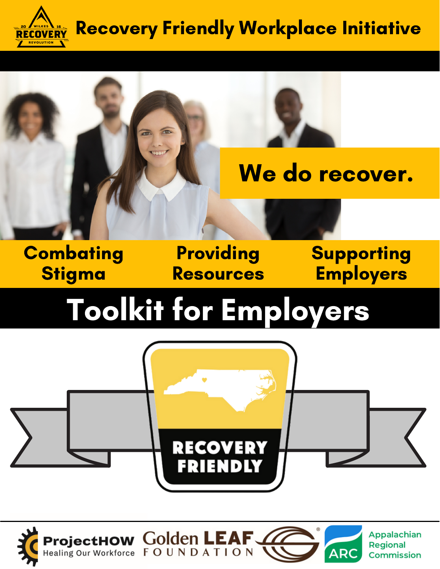

## Recovery Friendly Workplace Initiative



## **Combating** Stigma

Providing Resources Supporting **Employers** 

# Toolkit for Employers





**Appalachian Regional ARC Commission**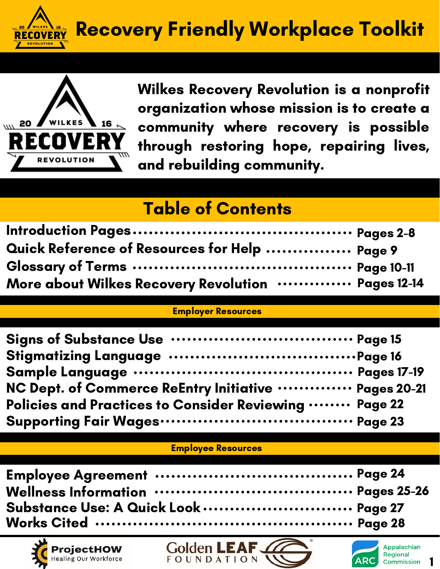



Wilkes Recovery Revolution is a nonprofit organization whose mission is to create a community where recovery is possible through restoring hope, repairing lives, and rebuilding community.

### Table of Contents

| Quick Reference of Resources for Help  Page 9      |  |
|----------------------------------------------------|--|
|                                                    |  |
| More about Wilkes Recovery Revolution  Pages 12-14 |  |

#### Employer Resources

| NC Dept. of Commerce ReEntry Initiative  Pages 20-21  |  |
|-------------------------------------------------------|--|
| Policies and Practices to Consider Reviewing  Page 22 |  |
|                                                       |  |

#### Employee Resources

| Substance Use: A Quick Look  Page 27 |  |
|--------------------------------------|--|
|                                      |  |





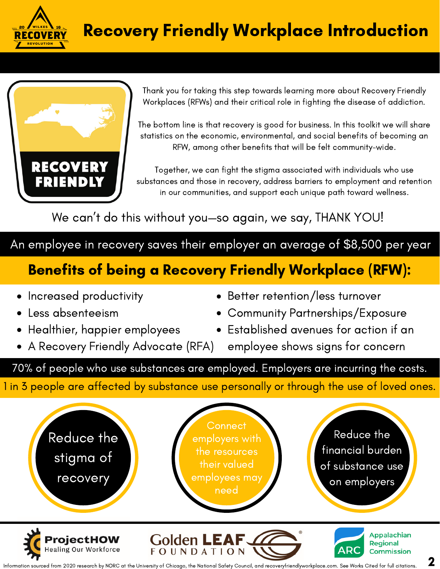



Thank you for taking this step towards learning more about Recovery Friendly Workplaces (RFWs) and their critical role in fighting the disease of addiction.

The bottom line is that recovery is good for business. In this toolkit we will share statistics on the economic, environmental, and social benefits of becoming an RFW, among other benefits that will be felt community-wide.

Together, we can fight the stigma associated with individuals who use substances and those in recovery, address barriers to employment and retention in our communities, and support each unique path toward wellness.

We can 't do this without you—so again, we say, THANK YOU!

An employee in recovery saves their employer an average of \$8,500 per year

### Benefits of being a Recovery Friendly Workplace (RFW):

- Increased productivity
- Less absenteeism
- Healthier, happier employees
- A Recovery Friendly Advocate (RFA)
- Better retention/less turnover
- Community Partnerships/Exposure
- Established avenues for action if an
	- employee shows signs for concern

70% of people who use substances are employed. Employers are incurring the costs.

1 in 3 people are affected by substance use personally or through the use of loved ones.

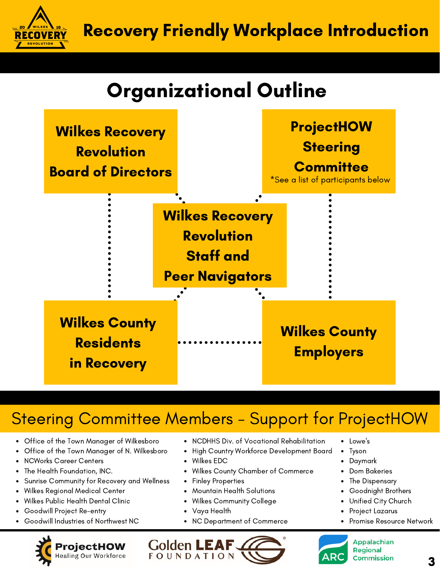Recovery Friendly Workplace Introduction

## Organizational Outline



### Steering Committee Members - Support for ProjectHOW

- Office of the Town Manager of Wilkesboro
- $\bullet$ Office of the Town Manager of N. Wilkesboro
- NCWorks Career Centers

**COVERY** 

- The Health Foundation, INC.
- Sunrise Community for Recovery and Wellness  $\bullet$
- Wilkes Regional Medical Center
- Wilkes Public Health Dental Clinic
- Goodwill Project Re-entry
- Goodwill Industries of Northwest NC



- NCDHHS Div. of Vocational Rehabilitation
- $\bullet$ High Country Workforce Development Board
- Wilkes EDC
- Wilkes County Chamber of Commerce
- Finley Properties  $\bullet$
- Mountain Health Solutions
- Wilkes Community College
- Vaya Health

Golden **L** 

**FOUNDATION** 

 $\bullet$ NC Department of Commerce

- Lowe's
- Tyson
- Daymark
- Dom Bakeries
- The Dispensary
- Goodnight Brothers
- Unified City Church
- Project Lazarus
- Promise Resource Network



3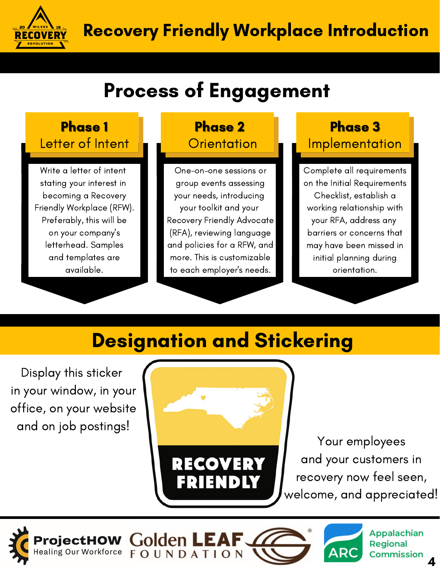

## Process of Engagement

#### Letter of Intent Phase 1 Phase 2

Write a letter of intent stating your interest in becoming a Recovery Friendly Workplace (RFW). Preferably, this will be on your company's letterhead. Samples and templates are available.

# **Orientation**

One-on-one sessions or group events assessing your needs, introducing your toolkit and your Recovery Friendly Advocate (RFA), reviewing language and policies for a RFW, and more. This is customizable to each employer's needs.

#### Phase 3 **Implementation**

Complete all requirements on the Initial Requirements Checklist, establish a working relationship with your RFA, address any barriers or concerns that may have been missed in initial planning during orientation.

## Designation and Stickering

Display this sticker in your window, in your office, on your website and on job postings!



Your employees and your customers in recovery now feel seen, welcome, and appreciated!

**AR** 

4

Appalachian

**Commission** 

**Regional** 

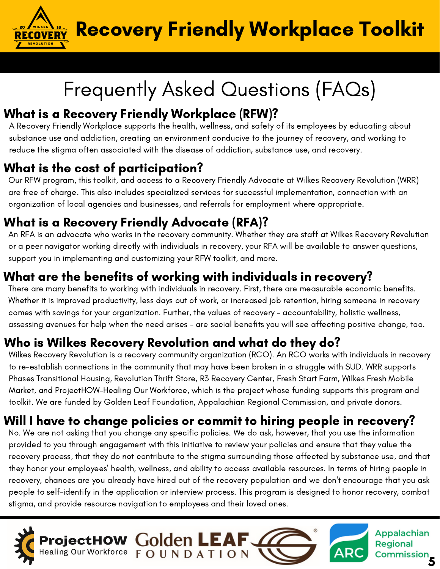Recovery Friendly Workplace Toolkit

## Frequently Asked Questions (FAQs)

#### What is a Recovery Friendly Workplace (RFW)?

A Recovery Friendly Workplace supports the health, wellness, and safety of its employees by educating about substance use and addiction, creating an environment conducive to the journey of recovery, and working to reduce the stigma often associated with the disease of addiction, substance use, and recovery.

#### What is the cost of participation?

**O** AWILKES \ 16

Our RFW program, this toolkit, and access to a Recovery Friendly Advocate at Wilkes Recovery Revolution (WRR) are free of charge. This also includes specialized services for successful implementation, connection with an organization of local agencies and businesses, and referrals for employment where appropriate.

#### What is a Recovery Friendly Advocate (RFA)?

An RFA is an advocate who works in the recovery community. Whether they are staff at Wilkes Recovery Revolution or a peer navigator working directly with individuals in recovery, your RFA will be available to answer questions, support you in implementing and customizing your RFW toolkit, and more.

#### What are the benefits of working with individuals in recovery?

There are many benefits to working with individuals in recovery. First, there are measurable economic benefits. Whether it is improved productivity, less days out of work, or increased job retention, hiring someone in recovery comes with savings for your organization. Further, the values of recovery - accountability, holistic wellness, assessing avenues for help when the need arises - are social benefits you will see affecting positive change, too.

#### Who is Wilkes Recovery Revolution and what do they do?

Wilkes Recovery Revolution is a recovery community organization (RCO). An RCO works with individuals in recovery to re-establish connections in the community that may have been broken in a struggle with SUD. WRR supports Phases Transitional Housing, Revolution Thrift Store, R3 Recovery Center, Fresh Start Farm, Wilkes Fresh Mobile Market, and ProjectHOW-Healing Our Workforce, which is the project whose funding supports this program and toolkit. We are funded by Golden Leaf Foundation, Appalachian Regional Commission, and private donors.

#### Will I have to change policies or commit to hiring people in recovery?

No. We are not asking that you change any specific policies. We do ask, however, that you use the information provided to you through engagement with this initiative to review your policies and ensure that they value the recovery process, that they do not contribute to the stigma surrounding those affected by substance use, and that they honor your employees' health, wellness, and ability to access available resources. In terms of hiring people in recovery, chances are you already have hired out of the recovery population and we don't encourage that you ask people to self-identify in the application or interview process. This program is designed to honor recovery, combat stigma, and provide resource navigation to employees and their loved ones.

Commission

Appalachian

**Regional** 

**AR** 

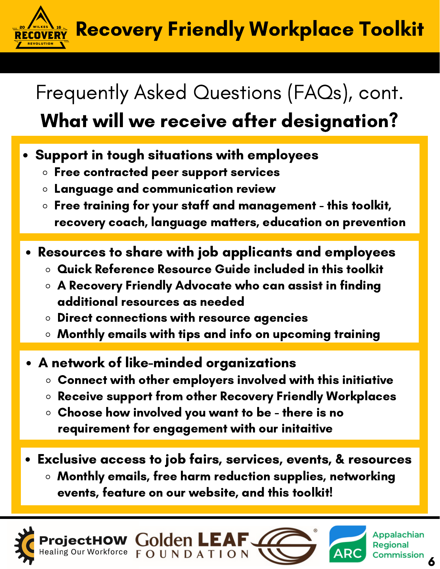Recovery Friendly Workplace Toolkit **/ERY** 

# Frequently Asked Questions (FAQs), cont.

## What will we receive after designation?

- Support in tough situations with employees
	- $\circ$  Free contracted peer support services
	- $\circ$  Language and communication review
	- $\circ$  Free training for your staff and management this toolkit, recovery coach, language matters, education on prevention
- Resources to share with job applicants and employees
	- Quick Reference Resource Guide included in this toolkit
	- A Recovery Friendly Advocate who can assist in finding additional resources as needed
	- $\circ$  Direct connections with resource agencies
	- $\circ$  Monthly emails with tips and info on upcoming training
- A network of like-minded organizations
	- Connect with other employers involved with this initiative
	- Receive support from other Recovery Friendly Workplaces
	- Choose how involved you want to be there is no requirement for engagement with our initaitive
- Exclusive access to job fairs, services, events, & resources
	- Monthly emails, free harm reduction supplies, networking events, feature on our website, and this toolkit!







6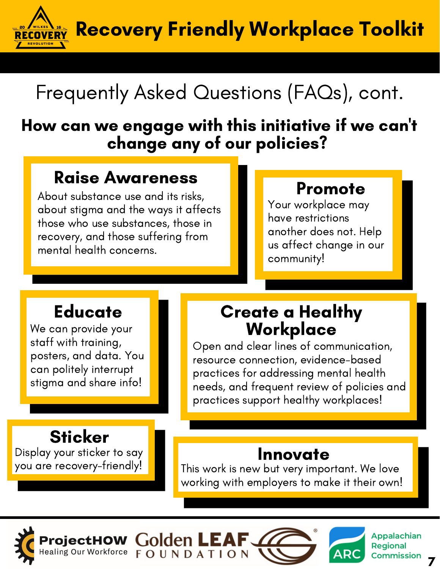Recovery Friendly Workplace Toolkit **ECOVERY** 

# Frequently Asked Questions (FAQs), cont.

### How can we engage with this initiative if we can 't change any of our policies?

### Raise Awareness

About substance use and its risks, about stigma and the ways it affects those who use substances, those in recovery, and those suffering from mental health concerns.

**Golden LEA** 

**FOUNDATION** 

### Promote

Your workplace may have restrictions another does not. Help us affect change in our community!

### **Educate**

We can provide your staff with training, posters, and data. You can politely interrupt stigma and share info!

## **Sticker**

Display your sticker to say you are recovery-friendly!

### Create a Healthy Workplace

Open and clear lines of communication, resource connection, evidence-based practices for addressing mental health needs, and frequent review of policies and practices support healthy workplaces!

### Innovate

This work is new but very important. We love working with employers to make it their own!



Appalachian **Regional Commission** 

**ARC** 

7